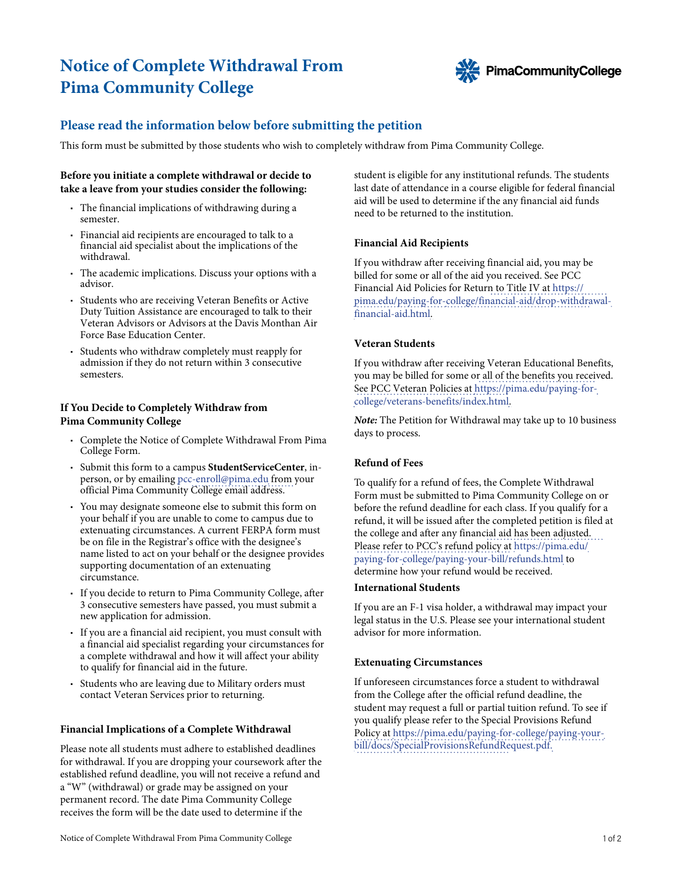# **Notice of Complete Withdrawal From Pima Community College**



# **Please read the information below before submitting the petition**

This form must be submitted by those students who wish to completely withdraw from Pima Community College.

## **Before you initiate a complete withdrawal or decide to take a leave from your studies consider the following:**

- The financial implications of withdrawing during a semester.
- Financial aid recipients are encouraged to talk to a financial aid specialist about the implications of the withdrawal.
- The academic implications. Discuss your options with a advisor.
- Students who are receiving Veteran Benefits or Active Duty Tuition Assistance are encouraged to talk to their Veteran Advisors or Advisors at the Davis Monthan Air Force Base Education Center.
- Students who withdraw completely must reapply for admission if they do not return within 3 consecutive semesters.

## **If You Decide to Completely Withdraw from Pima Community College**

- Complete the Notice of Complete Withdrawal From Pima College Form.
- Submit this form to a campus **StudentServiceCenter**, inperson, or by emailing [pcc-enroll@pima.edu](mailto:virtualsupport@pima.edu) from your official Pima Community College email address.
- You may designate someone else to submit this form on your behalf if you are unable to come to campus due to extenuating circumstances. A current FERPA form must be on file in the Registrar's office with the designee's name listed to act on your behalf or the designee provides supporting documentation of an extenuating circumstance.
- If you decide to return to Pima Community College, after 3 consecutive semesters have passed, you must submit a new application for admission.
- If you are a financial aid recipient, you must consult with a financial aid specialist regarding your circumstances for a complete withdrawal and how it will affect your ability to qualify for financial aid in the future.
- Students who are leaving due to Military orders must contact Veteran Services prior to returning.

#### **Financial Implications of a Complete Withdrawal**

Please note all students must adhere to established deadlines for withdrawal. If you are dropping your coursework after the established refund deadline, you will not receive a refund and a "W" (withdrawal) or grade may be assigned on your permanent record. The date Pima Community College receives the form will be the date used to determine if the

student is eligible for any institutional refunds. The students last date of attendance in a course eligible for federal financial aid will be used to determine if the any financial aid funds need to be returned to the institution.

#### **Financial Aid Recipients**

If you withdraw after receiving financial aid, you may be billed for some or all of the aid you received. See PCC [Financial Aid Policies for Return to Title IV at https://](https://pima.edu/paying-for-college/financial-aid/drop-withdrawal-financial-aid.html) [pima.edu/paying-for-college/financial-aid/drop-withdrawal](https://pima.edu/paying-for-college/financial-aid/drop-withdrawal-financial-aid.html)financial-aid.html.

## **Veteran Students**

If you withdraw after receiving Veteran Educational Benefits, you may be billed for some or all of the benefits you received. See PCC Veteran Policies at [https://pima.edu/paying-for](https://pima.edu/paying-for-college/veterans-benefits/index.html)[college/veterans-benefits/index.html](https://pima.edu/paying-for-college/veterans-benefits/index.html).

*Note:* The Petition for Withdrawal may take up to 10 business days to process.

# **Refund of Fees**

To qualify for a refund of fees, the Complete Withdrawal Form must be submitted to Pima Community College on or before the refund deadline for each class. If you qualify for a refund, it will be issued after the completed petition is filed at the college and after any financial aid has been adjusted. [Please refer to PCC's refund policy at https://pima.edu/](https://pima.edu/paying-for-college/paying-your-bill/refunds.html) paying-for-[college/paying-your-bill/refunds.html](https://pima.edu/paying-for-college/paying-your-bill/refunds.html) to determine how your refund would be received.

#### **International Students**

If you are an F-1 visa holder, a withdrawal may impact your legal status in the U.S. Please see your international student advisor for more information.

#### **Extenuating Circumstances**

If unforeseen circumstances force a student to withdrawal from the College after the official refund deadline, the student may re[quest a full or partial tuition refund. To se](https://pima.edu/paying-for-college/paying-your-bill/docs/SpecialProvisionsRefundRequest.pdf)e if [you qualify please refer to the Special Provisions Refund](https://pima.edu/paying-for-college/paying-your-bill/docs/SpecialProvisionsRefundRequest.pdf)  [Policy at https://pima.edu/paying-for-college/paying-your](https://pima.edu/paying-for-college/paying-your-bill/docs/SpecialProvisionsRefundRequest.pdf)bill/docs/[SpecialProvisionsRefundRequest.pdf.](https://pima.edu/paying-for-college/paying-your-bill/docs/SpecialProvisionsRefundRequest.pdf)